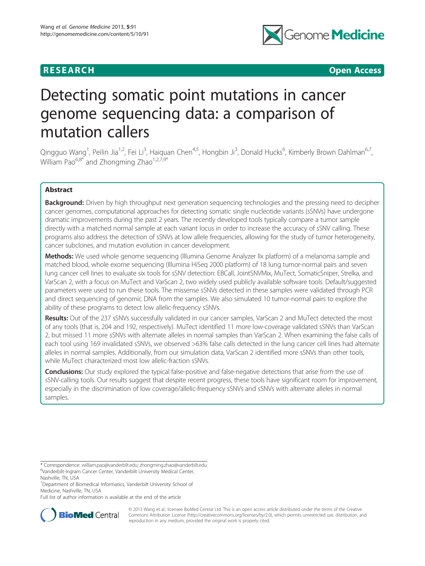

**RESEARCH CHINESE ARCH CHINESE ARCHITECT ARCHITECT ARCHITECT ARCHITECT ARCHITECT ARCHITECT ARCHITECT ARCHITECT ARCHITECT ARCHITECT ARCHITECT ARCHITECT ARCHITECT ARCHITECT ARCHITECT ARCHITECT ARCHITECT ARCHITECT ARCHITE** 

# Detecting somatic point mutations in cancer genome sequencing data: a comparison of mutation callers

Qingguo Wang<sup>1</sup>, Peilin Jia<sup>1,2</sup>, Fei Li<sup>3</sup>, Haiquan Chen<sup>4,5</sup>, Hongbin Ji<sup>3</sup>, Donald Hucks<sup>6</sup>, Kimberly Brown Dahlman<sup>6,7</sup>, William Pao $^{6,8*}$  and Zhongming Zhao $^{1,2,7,9*}$ 

# Abstract

Background: Driven by high throughput next generation sequencing technologies and the pressing need to decipher cancer genomes, computational approaches for detecting somatic single nucleotide variants (sSNVs) have undergone dramatic improvements during the past 2 years. The recently developed tools typically compare a tumor sample directly with a matched normal sample at each variant locus in order to increase the accuracy of sSNV calling. These programs also address the detection of sSNVs at low allele frequencies, allowing for the study of tumor heterogeneity, cancer subclones, and mutation evolution in cancer development.

Methods: We used whole genome sequencing (Illumina Genome Analyzer IIx platform) of a melanoma sample and matched blood, whole exome sequencing (Illumina HiSeq 2000 platform) of 18 lung tumor-normal pairs and seven lung cancer cell lines to evaluate six tools for sSNV detection: EBCall, JointSNVMix, MuTect, SomaticSniper, Strelka, and VarScan 2, with a focus on MuTect and VarScan 2, two widely used publicly available software tools. Default/suggested parameters were used to run these tools. The missense sSNVs detected in these samples were validated through PCR and direct sequencing of genomic DNA from the samples. We also simulated 10 tumor-normal pairs to explore the ability of these programs to detect low allelic-frequency sSNVs.

Results: Out of the 237 sSNVs successfully validated in our cancer samples, VarScan 2 and MuTect detected the most of any tools (that is, 204 and 192, respectively). MuTect identified 11 more low-coverage validated sSNVs than VarScan 2, but missed 11 more sSNVs with alternate alleles in normal samples than VarScan 2. When examining the false calls of each tool using 169 invalidated sSNVs, we observed >63% false calls detected in the lung cancer cell lines had alternate alleles in normal samples. Additionally, from our simulation data, VarScan 2 identified more sSNVs than other tools, while MuTect characterized most low allelic-fraction sSNVs.

**Conclusions:** Our study explored the typical false-positive and false-negative detections that arise from the use of sSNV-calling tools. Our results suggest that despite recent progress, these tools have significant room for improvement, especially in the discrimination of low coverage/allelic-frequency sSNVs and sSNVs with alternate alleles in normal samples.

Full list of author information is available at the end of the article



© 2013 Wang et al.; licensee BioMed Central Ltd. This is an open access article distributed under the terms of the Creative Commons Attribution License [\(http://creativecommons.org/licenses/by/2.0\)](http://creativecommons.org/licenses/by/2.0), which permits unrestricted use, distribution, and reproduction in any medium, provided the original work is properly cited.

<sup>\*</sup> Correspondence: [william.pao@vanderbilt.edu;](mailto:william.pao@vanderbilt.edu) [zhongming.zhao@vanderbilt.edu](mailto:zhongming.zhao@vanderbilt.edu) <sup>6</sup> Vanderbilt-Ingram Cancer Center, Vanderbilt University Medical Center,

Nashville, TN, USA

<sup>&</sup>lt;sup>1</sup>Department of Biomedical Informatics, Vanderbilt University School of Medicine, Nashville, TN, USA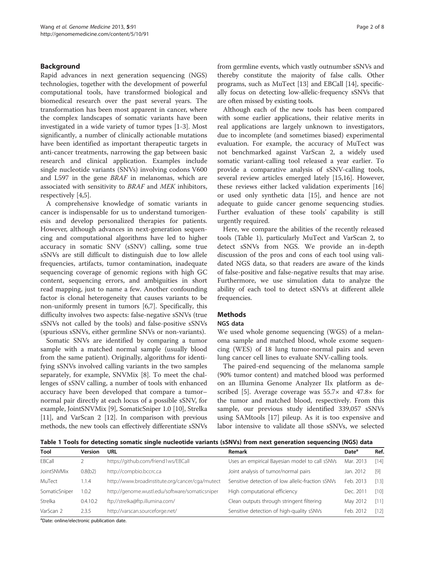# <span id="page-1-0"></span>Background

Rapid advances in next generation sequencing (NGS) technologies, together with the development of powerful computational tools, have transformed biological and biomedical research over the past several years. The transformation has been most apparent in cancer, where the complex landscapes of somatic variants have been investigated in a wide variety of tumor types [\[1](#page-6-0)-[3\]](#page-6-0). Most significantly, a number of clinically actionable mutations have been identified as important therapeutic targets in anti-cancer treatments, narrowing the gap between basic research and clinical application. Examples include single nucleotide variants (SNVs) involving codons V600 and L597 in the gene BRAF in melanomas, which are associated with sensitivity to BRAF and MEK inhibitors, respectively [\[4,5](#page-6-0)].

A comprehensive knowledge of somatic variants in cancer is indispensable for us to understand tumorigenesis and develop personalized therapies for patients. However, although advances in next-generation sequencing and computational algorithms have led to higher accuracy in somatic SNV (sSNV) calling, some true sSNVs are still difficult to distinguish due to low allele frequencies, artifacts, tumor contamination, inadequate sequencing coverage of genomic regions with high GC content, sequencing errors, and ambiguities in short read mapping, just to name a few. Another confounding factor is clonal heterogeneity that causes variants to be non-uniformly present in tumors [[6,7\]](#page-6-0). Specifically, this difficulty involves two aspects: false-negative sSNVs (true sSNVs not called by the tools) and false-positive sSNVs (spurious sSNVs, either germline SNVs or non-variants).

Somatic SNVs are identified by comparing a tumor sample with a matched normal sample (usually blood from the same patient). Originally, algorithms for identifying sSNVs involved calling variants in the two samples separately, for example, SNVMix [[8\]](#page-6-0). To meet the challenges of sSNV calling, a number of tools with enhanced accuracy have been developed that compare a tumor– normal pair directly at each locus of a possible sSNV, for example, JointSNVMix [[9\]](#page-6-0), SomaticSniper 1.0 [\[10](#page-6-0)], Strelka [[11](#page-6-0)], and VarScan 2 [\[12](#page-7-0)]. In comparison with previous methods, the new tools can effectively differentiate sSNVs from germline events, which vastly outnumber sSNVs and thereby constitute the majority of false calls. Other programs, such as MuTect [[13\]](#page-7-0) and EBCall [[14](#page-7-0)], specifically focus on detecting low-allelic-frequency sSNVs that are often missed by existing tools.

Although each of the new tools has been compared with some earlier applications, their relative merits in real applications are largely unknown to investigators, due to incomplete (and sometimes biased) experimental evaluation. For example, the accuracy of MuTect was not benchmarked against VarScan 2, a widely used somatic variant-calling tool released a year earlier. To provide a comparative analysis of sSNV-calling tools, several review articles emerged lately [\[15,16\]](#page-7-0). However, these reviews either lacked validation experiments [[16](#page-7-0)] or used only synthetic data [\[15](#page-7-0)], and hence are not adequate to guide cancer genome sequencing studies. Further evaluation of these tools' capability is still urgently required.

Here, we compare the abilities of the recently released tools (Table 1), particularly MuTect and VarScan 2, to detect sSNVs from NGS. We provide an in-depth discussion of the pros and cons of each tool using validated NGS data, so that readers are aware of the kinds of false-positive and false-negative results that may arise. Furthermore, we use simulation data to analyze the ability of each tool to detect sSNVs at different allele frequencies.

# Methods

#### NGS data

We used whole genome sequencing (WGS) of a melanoma sample and matched blood, whole exome sequencing (WES) of 18 lung tumor-normal pairs and seven lung cancer cell lines to evaluate SNV-calling tools.

The paired-end sequencing of the melanoma sample (90% tumor content) and matched blood was performed on an Illumina Genome Analyzer IIx platform as described [[5](#page-6-0)]. Average coverage was 55.7× and 47.8× for the tumor and matched blood, respectively. From this sample, our previous study identified 339,057 sSNVs using SAMtools [[17\]](#page-7-0) pileup. As it is too expensive and labor intensive to validate all those sSNVs, we selected

Table 1 Tools for detecting somatic single nucleotide variants (sSNVs) from next generation sequencing (NGS) data

| Tool               | <b>Version</b> | URL                                             | Remark                                            | Date <sup>a</sup> | Ref.   |
|--------------------|----------------|-------------------------------------------------|---------------------------------------------------|-------------------|--------|
| EBCall             |                | https://github.com/friend1ws/EBCall             | Uses an empirical Bayesian model to call sSNVs    | Mar. 2013         | [14]   |
| <b>JointSNVMix</b> | 0.8(b2)        | http://compbio.bccrc.ca                         | Joint analysis of tumor/normal pairs              | Jan. 2012         | [9]    |
| MuTect             | 1.1.4          | http://www.broadinstitute.org/cancer/cga/mutect | Sensitive detection of low allelic-fraction sSNVs | Feb. 2013         | [13]   |
| SomaticSniper      | 1.0.2          | http://genome.wustl.edu/software/somaticsniper  | High computational efficiency                     | Dec. 2011         | $[10]$ |
| Strelka            | 0.4.10.2       | ftp://strelka@ftp.illumina.com/                 | Clean outputs through stringent filtering         | May 2012          | [11]   |
| VarScan 2          | 2.3.5          | http://varscan.sourceforge.net/                 | Sensitive detection of high-quality sSNVs         | Feb. 2012         | [12]   |

<sup>a</sup>Date: online/electronic publication date.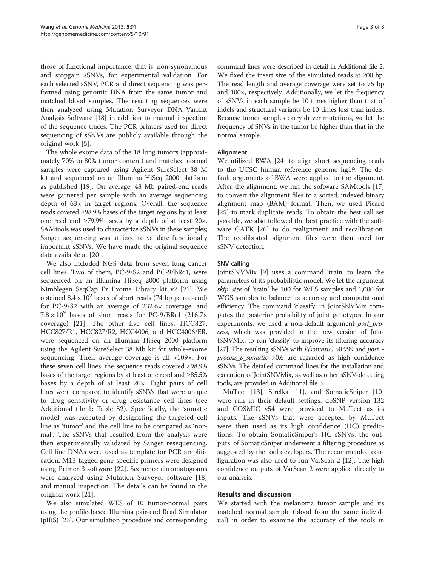those of functional importance, that is, non-synonymous and stopgain sSNVs, for experimental validation. For each selected sSNV, PCR and direct sequencing was performed using genomic DNA from the same tumor and matched blood samples. The resulting sequences were then analyzed using Mutation Surveyor DNA Variant Analysis Software [[18](#page-7-0)] in addition to manual inspection of the sequence traces. The PCR primers used for direct sequencing of sSNVs are publicly available through the original work [\[5](#page-6-0)].

The whole exome data of the 18 lung tumors (approximately 70% to 80% tumor content) and matched normal samples were captured using Agilent SureSelect 38 M kit and sequenced on an Illumina HiSeq 2000 platform as published [[19\]](#page-7-0). On average, 48 Mb paired-end reads were garnered per sample with an average sequencing depth of  $63x$  in target regions. Overall, the sequence reads covered ≥98.9% bases of the target regions by at least one read and ≥79.9% bases by a depth of at least 20×. SAMtools was used to characterize sSNVs in these samples; Sanger sequencing was utilized to validate functionally important sSNVs. We have made the original sequence data available at [[20\]](#page-7-0).

We also included NGS data from seven lung cancer cell lines. Two of them, PC-9/S2 and PC-9/BRc1, were sequenced on an Illumina HiSeq 2000 platform using Nimblegen SeqCap Ez Exome Library kit v2 [\[21](#page-7-0)]. We obtained  $8.4 \times 10^9$  bases of short reads (74 bp paired-end) for PC-9/S2 with an average of 232.6× coverage, and  $7.8 \times 10^9$  bases of short reads for PC-9/BRc1 (216.7 $\times$ coverage) [\[21](#page-7-0)]. The other five cell lines, HCC827, HCC827/R1, HCC827/R2, HCC4006, and HCC4006/ER, were sequenced on an Illumina HiSeq 2000 platform using the Agilent SureSelect 38 Mb kit for whole-exome sequencing. Their average coverage is all >109×. For these seven cell lines, the sequence reads covered ≥98.9% bases of the target regions by at least one read and ≥85.5% bases by a depth of at least 20×. Eight pairs of cell lines were compared to identify sSNVs that were unique to drug sensitivity or drug resistance cell lines (see Additional file [1:](#page-6-0) Table S2). Specifically, the 'somatic model' was executed by designating the targeted cell line as 'tumor' and the cell line to be compared as 'normal'. The sSNVs that resulted from the analysis were then experimentally validated by Sanger resequencing. Cell line DNAs were used as template for PCR amplification. M13-tagged gene-specific primers were designed using Primer 3 software [[22\]](#page-7-0). Sequence chromatograms were analyzed using Mutation Surveyor software [\[18](#page-7-0)] and manual inspection. The details can be found in the original work [[21\]](#page-7-0).

We also simulated WES of 10 tumor-normal pairs using the profile-based Illumina pair-end Read Simulator (pIRS) [\[23](#page-7-0)]. Our simulation procedure and corresponding

command lines were described in detail in Additional file [2](#page-6-0). We fixed the insert size of the simulated reads at 200 bp. The read length and average coverage were set to 75 bp and 100×, respectively. Additionally, we let the frequency of sSNVs in each sample be 10 times higher than that of indels and structural variants be 10 times less than indels. Because tumor samples carry driver mutations, we let the frequency of SNVs in the tumor be higher than that in the normal sample.

# Alignment

We utilized BWA [[24\]](#page-7-0) to align short sequencing reads to the UCSC human reference genome hg19. The default arguments of BWA were applied to the alignment. After the alignment, we ran the software SAMtools [[17](#page-7-0)] to convert the alignment files to a sorted, indexed binary alignment map (BAM) format. Then, we used Picard [[25\]](#page-7-0) to mark duplicate reads. To obtain the best call set possible, we also followed the best practice with the software GATK [\[26\]](#page-7-0) to do realignment and recalibration. The recalibrated alignment files were then used for sSNV detection.

# SNV calling

JointSNVMix [\[9\]](#page-6-0) uses a command 'train' to learn the parameters of its probabilistic model. We let the argument skip\_size of 'train' be 100 for WES samples and 1,000 for WGS samples to balance its accuracy and computational efficiency. The command 'classify' in JointSNVMix computes the posterior probability of joint genotypes. In our experiments, we used a non-default argument *post\_pro*cess, which was provided in the new version of JointSNVMix, to run 'classify' to improve its filtering accuracy [[27](#page-7-0)]. The resulting sSNVs with *P(somatic)* > 0.999 and *post\_*process  $p$  somatic  $>0.6$  are regarded as high confidence sSNVs. The detailed command lines for the installation and execution of JointSNVMix, as well as other sSNV-detecting tools, are provided in Additional file [3](#page-6-0).

MuTect [[13\]](#page-7-0), Strelka [\[11\]](#page-6-0), and SomaticSniper [[10](#page-6-0)] were run in their default settings. dbSNP version 132 and COSMIC v54 were provided to MuTect as its inputs. The sSNVs that were accepted by MuTect were then used as its high confidence (HC) predictions. To obtain SomaticSniper's HC sSNVs, the outputs of SomaticSniper underwent a filtering procedure as suggested by the tool developers. The recommended configuration was also used to run VarScan 2 [\[12\]](#page-7-0). The high confidence outputs of VarScan 2 were applied directly to our analysis.

# Results and discussion

We started with the melanoma tumor sample and its matched normal sample (blood from the same individual) in order to examine the accuracy of the tools in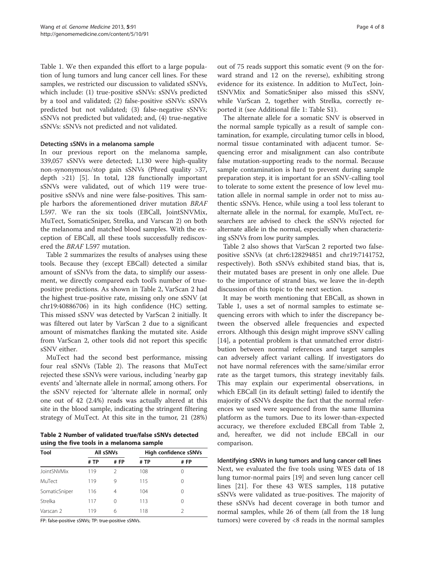Table [1.](#page-1-0) We then expanded this effort to a large population of lung tumors and lung cancer cell lines. For these samples, we restricted our discussion to validated sSNVs, which include: (1) true-positive sSNVs: sSNVs predicted by a tool and validated; (2) false-positive sSNVs: sSNVs predicted but not validated; (3) false-negative sSNVs: sSNVs not predicted but validated; and, (4) true-negative sSNVs: sSNVs not predicted and not validated.

# Detecting sSNVs in a melanoma sample

In our previous report on the melanoma sample, 339,057 sSNVs were detected; 1,130 were high-quality non-synonymous/stop gain sSNVs (Phred quality >37, depth >21) [[5](#page-6-0)]. In total, 128 functionally important sSNVs were validated, out of which 119 were truepositive sSNVs and nine were false-positives. This sample harbors the aforementioned driver mutation BRAF L597. We ran the six tools (EBCall, JointSNVMix, MuTect, SomaticSniper, Strelka, and Varscan 2) on both the melanoma and matched blood samples. With the exception of EBCall, all these tools successfully rediscovered the BRAF L597 mutation.

Table 2 summarizes the results of analyses using these tools. Because they (except EBCall) detected a similar amount of sSNVs from the data, to simplify our assessment, we directly compared each tool's number of truepositive predictions. As shown in Table 2, VarScan 2 had the highest true-positive rate, missing only one sSNV (at chr19:40886706) in its high confidence (HC) setting. This missed sSNV was detected by VarScan 2 initially. It was filtered out later by VarScan 2 due to a significant amount of mismatches flanking the mutated site. Aside from VarScan 2, other tools did not report this specific sSNV either.

MuTect had the second best performance, missing four real sSNVs (Table 2). The reasons that MuTect rejected these sSNVs were various, including 'nearby gap events' and 'alternate allele in normal', among others. For the sSNV rejected for 'alternate allele in normal', only one out of 42 (2.4%) reads was actually altered at this site in the blood sample, indicating the stringent filtering strategy of MuTect. At this site in the tumor, 21 (28%)

Table 2 Number of validated true/false sSNVs detected using the five tools in a melanoma sample

| Tool          | All sSNVs |               | High confidence sSNVs |                  |  |  |
|---------------|-----------|---------------|-----------------------|------------------|--|--|
|               | # TP      | #FP           | # TP                  | #FP              |  |  |
| JointSNVMix   | 119       | $\mathcal{P}$ | 108                   |                  |  |  |
| MuTect        | 119       | 9             | 115                   | 0                |  |  |
| SomaticSniper | 116       | 4             | 104                   | $\left( \right)$ |  |  |
| Strelka       | 117       | 0             | 113                   | $\left( \right)$ |  |  |
| Varscan 2     | 119       | 6             | 118                   |                  |  |  |

FP: false-positive sSNVs; TP: true-positive sSNVs.

out of 75 reads support this somatic event (9 on the forward strand and 12 on the reverse), exhibiting strong evidence for its existence. In addition to MuTect, JointSNVMix and SomaticSniper also missed this sSNV, while VarScan 2, together with Strelka, correctly reported it (see Additional file [1](#page-6-0): Table S1).

The alternate allele for a somatic SNV is observed in the normal sample typically as a result of sample contamination, for example, circulating tumor cells in blood, normal tissue contaminated with adjacent tumor. Sequencing error and misalignment can also contribute false mutation-supporting reads to the normal. Because sample contamination is hard to prevent during sample preparation step, it is important for an sSNV-calling tool to tolerate to some extent the presence of low level mutation allele in normal sample in order not to miss authentic sSNVs. Hence, while using a tool less tolerant to alternate allele in the normal, for example, MuTect, researchers are advised to check the sSNVs rejected for alternate allele in the normal, especially when characterizing sSNVs from low purity samples.

Table 2 also shows that VarScan 2 reported two falsepositive sSNVs (at chr6:128294851 and chr19:7141752, respectively). Both sSNVs exhibited stand bias, that is, their mutated bases are present in only one allele. Due to the importance of strand bias, we leave the in-depth discussion of this topic to the next section.

It may be worth mentioning that EBCall, as shown in Table [1,](#page-1-0) uses a set of normal samples to estimate sequencing errors with which to infer the discrepancy between the observed allele frequencies and expected errors. Although this design might improve sSNV calling [[14\]](#page-7-0), a potential problem is that unmatched error distribution between normal references and target samples can adversely affect variant calling. If investigators do not have normal references with the same/similar error rate as the target tumors, this strategy inevitably fails. This may explain our experimental observations, in which EBCall (in its default setting) failed to identify the majority of sSNVs despite the fact that the normal references we used were sequenced from the same Illumina platform as the tumors. Due to its lower-than-expected accuracy, we therefore excluded EBCall from Table 2, and, hereafter, we did not include EBCall in our comparison.

Identifying sSNVs in lung tumors and lung cancer cell lines Next, we evaluated the five tools using WES data of 18 lung tumor-normal pairs [\[19](#page-7-0)] and seven lung cancer cell lines [[21\]](#page-7-0). For these 43 WES samples, 118 putative sSNVs were validated as true-positives. The majority of these sSNVs had decent coverage in both tumor and normal samples, while 26 of them (all from the 18 lung tumors) were covered by <8 reads in the normal samples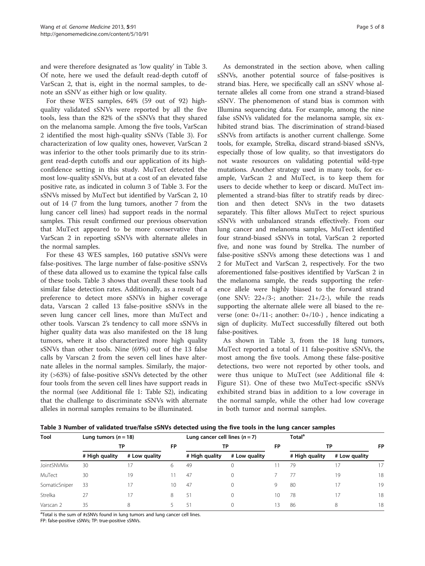and were therefore designated as 'low quality' in Table 3. Of note, here we used the default read-depth cutoff of VarScan 2, that is, eight in the normal samples, to denote an sSNV as either high or low quality.

For these WES samples, 64% (59 out of 92) highquality validated sSNVs were reported by all the five tools, less than the 82% of the sSNVs that they shared on the melanoma sample. Among the five tools, VarScan 2 identified the most high-quality sSNVs (Table 3). For characterization of low quality ones, however, VarScan 2 was inferior to the other tools primarily due to its stringent read-depth cutoffs and our application of its highconfidence setting in this study. MuTect detected the most low-quality sSNVs, but at a cost of an elevated false positive rate, as indicated in column 3 of Table 3. For the sSNVs missed by MuTect but identified by VarScan 2, 10 out of 14 (7 from the lung tumors, another 7 from the lung cancer cell lines) had support reads in the normal samples. This result confirmed our previous observation that MuTect appeared to be more conservative than VarScan 2 in reporting sSNVs with alternate alleles in the normal samples.

For these 43 WES samples, 160 putative sSNVs were false-positives. The large number of false-positive sSNVs of these data allowed us to examine the typical false calls of these tools. Table 3 shows that overall these tools had similar false detection rates. Additionally, as a result of a preference to detect more sSNVs in higher coverage data, Varscan 2 called 13 false-positive sSNVs in the seven lung cancer cell lines, more than MuTect and other tools. Varscan 2's tendency to call more sSNVs in higher quality data was also manifested on the 18 lung tumors, where it also characterized more high quality sSNVs than other tools. Nine (69%) out of the 13 false calls by Varscan 2 from the seven cell lines have alternate alleles in the normal samples. Similarly, the majority (>63%) of false-positive sSNVs detected by the other four tools from the seven cell lines have support reads in the normal (see Additional file [1](#page-6-0): Table S2), indicating that the challenge to discriminate sSNVs with alternate alleles in normal samples remains to be illuminated.

As demonstrated in the section above, when calling sSNVs, another potential source of false-positives is strand bias. Here, we specifically call an sSNV whose alternate alleles all come from one strand a strand-biased sSNV. The phenomenon of stand bias is common with Illumina sequencing data. For example, among the nine false sSNVs validated for the melanoma sample, six exhibited strand bias. The discrimination of strand-biased sSNVs from artifacts is another current challenge. Some tools, for example, Strelka, discard strand-biased sSNVs, especially those of low quality, so that investigators do not waste resources on validating potential wild-type mutations. Another strategy used in many tools, for example, VarScan 2 and MuTect, is to keep them for users to decide whether to keep or discard. MuTect implemented a strand-bias filter to stratify reads by direction and then detect SNVs in the two datasets separately. This filter allows MuTect to reject spurious sSNVs with unbalanced strands effectively. From our lung cancer and melanoma samples, MuTect identified four strand-biased sSNVs in total, VarScan 2 reported five, and none was found by Strelka. The number of false-positive sSNVs among these detections was 1 and 2 for MuTect and VarScan 2, respectively. For the two aforementioned false-positives identified by VarScan 2 in the melanoma sample, the reads supporting the reference allele were highly biased to the forward strand (one SNV:  $22+/3-$ ; another:  $21+/2-$ ), while the reads supporting the alternate allele were all biased to the reverse (one:  $0+/11-$ ; another:  $0+/10-$ ), hence indicating a sign of duplicity. MuTect successfully filtered out both false-positives.

As shown in Table 3, from the 18 lung tumors, MuTect reported a total of 11 false-positive sSNVs, the most among the five tools. Among these false-positive detections, two were not reported by other tools, and were thus unique to MuTect (see Additional file [4](#page-6-0): Figure S1). One of these two MuTect-specific sSNVs exhibited strand bias in addition to a low coverage in the normal sample, while the other had low coverage in both tumor and normal samples.

| Table 3 Number of validated true/false sSNVs detected using the five tools in the lung cancer samples |  |  |
|-------------------------------------------------------------------------------------------------------|--|--|
|-------------------------------------------------------------------------------------------------------|--|--|

| Tool          | Lung tumors $(n = 18)$<br>ТP |               |           | Lung cancer cell lines $(n = 7)$<br>ΤР |               | <b>FP</b> | Total <sup>a</sup> |               |           |
|---------------|------------------------------|---------------|-----------|----------------------------------------|---------------|-----------|--------------------|---------------|-----------|
|               |                              |               | <b>FP</b> |                                        |               |           | ТP                 |               | <b>FP</b> |
|               | # High quality               | # Low quality |           | # High quality                         | # Low quality |           | # High quality     | # Low quality |           |
| JointSNVMix   | 30                           |               | 6         | 49                                     |               |           | 79                 | 17            | 17        |
| MuTect        | 30                           | 19            |           | 47                                     | $\Omega$      |           |                    | 19            | 18        |
| SomaticSniper | 33                           | 17            | 10        | 47                                     | $\Omega$      | 9         | 80                 | 17            | 19        |
| Strelka       | 27                           | 17            | 8         | 51                                     | $\Omega$      | 10        | 78                 | 17            | 18        |
| Varscan 2     | 35                           | 8             |           | 51                                     |               | 13        | 86                 | 8             | 18        |

<sup>a</sup>Total is the sum of #sSNVs found in lung tumors and lung cancer cell lines.

FP: false-positive sSNVs; TP: true-positive sSNVs.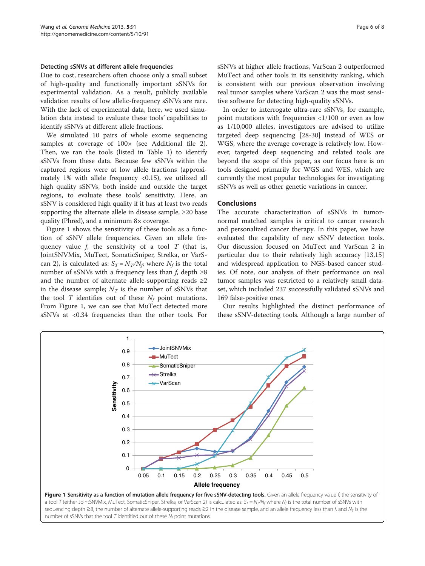#### Detecting sSNVs at different allele frequencies

Due to cost, researchers often choose only a small subset of high-quality and functionally important sSNVs for experimental validation. As a result, publicly available validation results of low allelic-frequency sSNVs are rare. With the lack of experimental data, here, we used simulation data instead to evaluate these tools' capabilities to identify sSNVs at different allele fractions.

We simulated 10 pairs of whole exome sequencing samples at coverage of  $100\times$  (see Additional file [2](#page-6-0)). Then, we ran the tools (listed in Table [1](#page-1-0)) to identify sSNVs from these data. Because few sSNVs within the captured regions were at low allele fractions (approximately 1% with allele frequency <0.15), we utilized all high quality sSNVs, both inside and outside the target regions, to evaluate these tools' sensitivity. Here, an sSNV is considered high quality if it has at least two reads supporting the alternate allele in disease sample,  $\geq 20$  base quality (Phred), and a minimum 8× coverage.

Figure 1 shows the sensitivity of these tools as a function of sSNV allele frequencies. Given an allele frequency value f, the sensitivity of a tool  $T$  (that is, JointSNVMix, MuTect, SomaticSniper, Strelka, or VarScan 2), is calculated as:  $S_T = N_T/N_\beta$  where  $N_f$  is the total number of sSNVs with a frequency less than  $f$ , depth ≥8 and the number of alternate allele-supporting reads  $\geq 2$ in the disease sample;  $N_T$  is the number of sSNVs that the tool  $T$  identifies out of these  $N_f$  point mutations. From Figure 1, we can see that MuTect detected more sSNVs at <0.34 frequencies than the other tools. For

sSNVs at higher allele fractions, VarScan 2 outperformed MuTect and other tools in its sensitivity ranking, which is consistent with our previous observation involving real tumor samples where VarScan 2 was the most sensitive software for detecting high-quality sSNVs.

In order to interrogate ultra-rare sSNVs, for example, point mutations with frequencies <1/100 or even as low as 1/10,000 alleles, investigators are advised to utilize targeted deep sequencing [\[28-30](#page-7-0)] instead of WES or WGS, where the average coverage is relatively low. However, targeted deep sequencing and related tools are beyond the scope of this paper, as our focus here is on tools designed primarily for WGS and WES, which are currently the most popular technologies for investigating sSNVs as well as other genetic variations in cancer.

#### Conclusions

The accurate characterization of sSNVs in tumornormal matched samples is critical to cancer research and personalized cancer therapy. In this paper, we have evaluated the capability of new sSNV detection tools. Our discussion focused on MuTect and VarScan 2 in particular due to their relatively high accuracy [[13](#page-7-0),[15](#page-7-0)] and widespread application to NGS-based cancer studies. Of note, our analysis of their performance on real tumor samples was restricted to a relatively small dataset, which included 237 successfully validated sSNVs and 169 false-positive ones.

Our results highlighted the distinct performance of these sSNV-detecting tools. Although a large number of

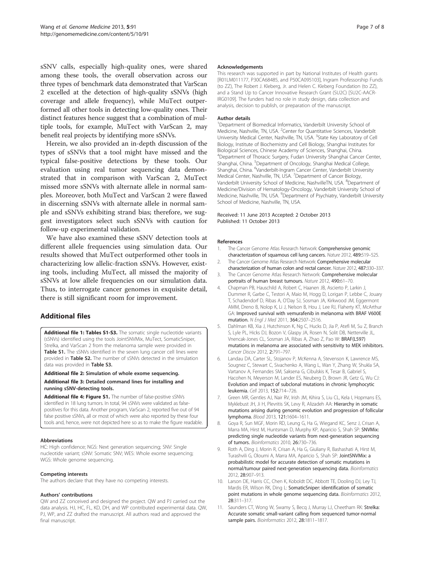<span id="page-6-0"></span>sSNV calls, especially high-quality ones, were shared among these tools, the overall observation across our three types of benchmark data demonstrated that VarScan 2 excelled at the detection of high-quality sSNVs (high coverage and allele frequency), while MuTect outperformed all other tools in detecting low-quality ones. Their distinct features hence suggest that a combination of multiple tools, for example, MuTect with VarScan 2, may benefit real projects by identifying more sSNVs.

Herein, we also provided an in-depth discussion of the types of sSNVs that a tool might have missed and the typical false-positive detections by these tools. Our evaluation using real tumor sequencing data demonstrated that in comparison with VarScan 2, MuTect missed more sSNVs with alternate allele in normal samples. Moreover, both MuTect and VarScan 2 were flawed in discerning sSNVs with alternate allele in normal sample and sSNVs exhibiting strand bias; therefore, we suggest investigators select such sSNVs with caution for follow-up experimental validation.

We have also examined these sSNV detection tools at different allele frequencies using simulation data. Our results showed that MuTect outperformed other tools in characterizing low allelic-fraction sSNVs. However, existing tools, including MuTect, all missed the majority of sSNVs at low allele frequencies on our simulation data. Thus, to interrogate cancer genomes in exquisite detail, there is still significant room for improvement.

# Additional files

[Additional file 1: Tables S1-S3.](http://www.biomedcentral.com/content/supplementary/gm495-S1.xls) The somatic single nucleotide variants (sSNVs) identified using the tools JointSNVMix, MuTect, SomaticSniper, Strelka, and VarScan 2 from the melanoma sample were provided in Table S1. The sSNVs identified in the seven lung cancer cell lines were provided in Table S2. The number of sSNVs detected in the simulation data was provided in Table S3.

#### [Additional file 2:](http://www.biomedcentral.com/content/supplementary/gm495-S2.docx) Simulation of whole exome sequencing.

[Additional file 3:](http://www.biomedcentral.com/content/supplementary/gm495-S3.docx) Detailed command lines for installing and running sSNV-detecting tools.

[Additional file 4: Figure S1.](http://www.biomedcentral.com/content/supplementary/gm495-S4.png) The number of false-positive sSNVs identified in 18 lung tumors. In total, 94 sSNVs were validated as falsepositives for this data. Another program, VarScan 2, reported five out of 94 false positive sSNVs, all or most of which were also reported by these four tools and, hence, were not depicted here so as to make the figure readable.

#### Abbreviations

HC: High confidence; NGS: Next generation sequencing; SNV: Single nucleotide variant; sSNV: Somatic SNV; WES: Whole exome sequencing; WGS: Whole genome sequencing.

#### Competing interests

The authors declare that they have no competing interests.

#### Authors' contributions

QW and ZZ conceived and designed the project. QW and PJ carried out the data analysis. HJ, HC, FL, KD, DH, and WP contributed experimental data. QW, PJ, WP, and ZZ drafted the manuscript. All authors read and approved the final manuscript.

#### Acknowledgements

This research was supported in part by National Institutes of Health grants [R01LM011177, P30CA68485, and P50CA095103], Ingram Professorship Funds (to ZZ), The Robert J. Kleberg, Jr. and Helen C. Kleberg Foundation (to ZZ), and a Stand Up to Cancer Innovative Research Grant (SU2C) [SU2C-AACR-IRG0109]. The funders had no role in study design, data collection and analysis, decision to publish, or preparation of the manuscript.

#### Author details

<sup>1</sup>Department of Biomedical Informatics, Vanderbilt University School of Medicine, Nashville, TN, USA. <sup>2</sup> Center for Quantitative Sciences, Vanderbilt University Medical Center, Nashville, TN, USA. <sup>3</sup>State Key Laboratory of Cell Biology, Institute of Biochemistry and Cell Biology, Shanghai Institutes for Biological Sciences, Chinese Academy of Sciences, Shanghai, China. 4 Department of Thoracic Surgery, Fudan University Shanghai Cancer Center, Shanghai, China. <sup>5</sup>Department of Oncology, Shanghai Medical College, Shanghai, China. <sup>6</sup>Vanderbilt-Ingram Cancer Center, Vanderbilt University Medical Center, Nashville, TN, USA. <sup>7</sup> Department of Cancer Biology Vanderbilt University School of Medicine, NashvilleTN, USA. <sup>8</sup>Department of Medicine/Division of Hematology-Oncology, Vanderbilt University School of Medicine, Nashville, TN, USA. <sup>9</sup>Department of Psychiatry, Vanderbilt University School of Medicine, Nashville, TN, USA.

Received: 11 June 2013 Accepted: 2 October 2013 Published: 11 October 2013

#### References

- 1. The Cancer Genome Atlas Research Network: Comprehensive genomic characterization of squamous cell lung cancers. Nature 2012, 489:519–525.
- 2. The Cancer Genome Atlas Research Network: Comprehensive molecular characterization of human colon and rectal cancer. Nature 2012, 487:330–337.
- 3. The Cancer Genome Atlas Research Network: Comprehensive molecular portraits of human breast tumours. Nature 2012, 490:61–70.
- 4. Chapman PB, Hauschild A, Robert C, Haanen JB, Ascierto P, Larkin J, Dummer R, Garbe C, Testori A, Maio M, Hogg D, Lorigan P, Lebbe C, Jouary T, Schadendorf D, Ribas A, O'Day SJ, Sosman JA, Kirkwood JM, Eggermont AMM, Dreno B, Nolop K, Li J, Nelson B, Hou J, Lee RJ, Flaherty KT, McArthur GA: Improved survival with vemurafenib in melanoma with BRAF V600E mutation. N Engl J Med 2011, 364:2507–2516.
- 5. Dahlman KB, Xia J, Hutchinson K, Ng C, Hucks D, Jia P, Atefi M, Su Z, Branch S, Lyle PL, Hicks DJ, Bozon V, Glaspy JA, Rosen N, Solit DB, Netterville JL, Vnencak-Jones CL, Sosman JA, Ribas A, Zhao Z, Pao W: BRAF(L597) mutations in melanoma are associated with sensitivity to MEK inhibitors. Cancer Discov 2012, 2:791–797.
- 6. Landau DA, Carter SL, Stojanov P, McKenna A, Stevenson K, Lawrence MS, Sougnez C, Stewart C, Sivachenko A, Wang L, Wan Y, Zhang W, Shukla SA, Vartanov A, Fernandes SM, Saksena G, Cibulskis K, Tesar B, Gabriel S, Hacohen N, Meyerson M, Lander ES, Neuberg D, Brown JR, Getz G, Wu CJ: Evolution and impact of subclonal mutations in chronic lymphocytic leukemia. Cell 2013, 152:714–726.
- 7. Green MR, Gentles AJ, Nair RV, Irish JM, Kihira S, Liu CL, Kela I, Hopmans ES, Myklebust JH, Ji H, Plevritis SK, Levy R, Alizadeh AA: Hierarchy in somatic mutations arising during genomic evolution and progression of follicular lymphoma. Blood 2013, 121:1604–1611.
- 8. Goya R, Sun MGF, Morin RD, Leung G, Ha G, Wiegand KC, Senz J, Crisan A, Marra MA, Hirst M, Huntsman D, Murphy KP, Aparicio S, Shah SP: SNVMix: predicting single nucleotide variants from next-generation sequencing of tumors. Bioinformatics 2010, 26:730–736.
- 9. Roth A, Ding J, Morin R, Crisan A, Ha G, Giuliany R, Bashashati A, Hirst M, Turashvili G, Oloumi A, Marra MA, Aparicio S, Shah SP: JointSNVMix: a probabilistic model for accurate detection of somatic mutations in normal/tumour paired next-generation sequencing data. Bioinformatics 2012, 28:907–913.
- 10. Larson DE, Harris CC, Chen K, Koboldt DC, Abbott TE, Dooling DJ, Ley TJ, Mardis ER, Wilson RK, Ding L: SomaticSniper: identification of somatic point mutations in whole genome sequencing data. Bioinformatics 2012, 28:311–317.
- 11. Saunders CT, Wong W, Swamy S, Becq J, Murray LJ, Cheetham RK: Strelka: Accurate somatic small-variant calling from sequenced tumor-normal sample pairs. Bioinformatics 2012, 28:1811-1817.